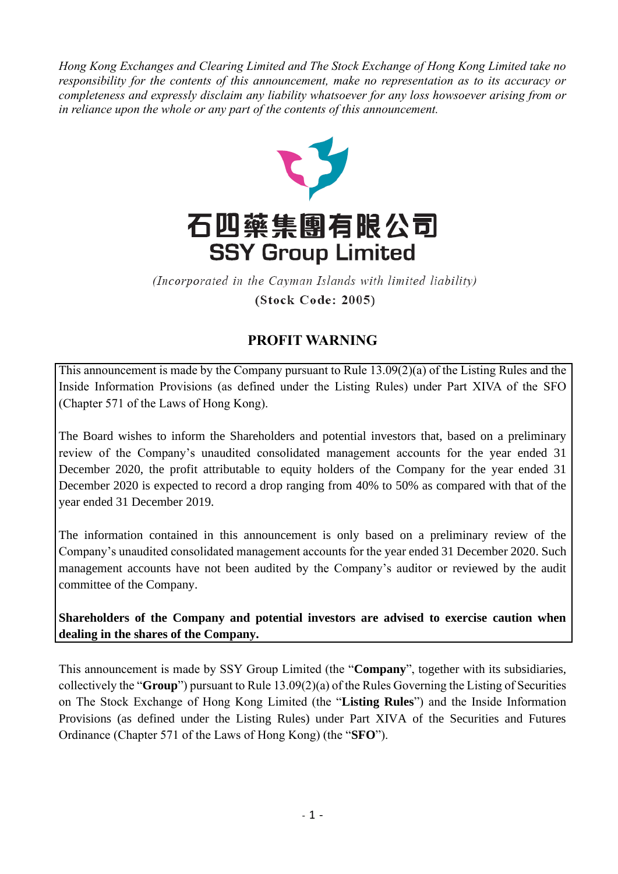*Hong Kong Exchanges and Clearing Limited and The Stock Exchange of Hong Kong Limited take no responsibility for the contents of this announcement, make no representation as to its accuracy or completeness and expressly disclaim any liability whatsoever for any loss howsoever arising from or in reliance upon the whole or any part of the contents of this announcement.*



(Incorporated in the Cayman Islands with limited liability) (Stock Code: 2005)

## **PROFIT WARNING**

This announcement is made by the Company pursuant to Rule 13.09(2)(a) of the Listing Rules and the Inside Information Provisions (as defined under the Listing Rules) under Part XIVA of the SFO (Chapter 571 of the Laws of Hong Kong).

The Board wishes to inform the Shareholders and potential investors that, based on a preliminary review of the Company's unaudited consolidated management accounts for the year ended 31 December 2020, the profit attributable to equity holders of the Company for the year ended 31 December 2020 is expected to record a drop ranging from 40% to 50% as compared with that of the year ended 31 December 2019.

The information contained in this announcement is only based on a preliminary review of the Company's unaudited consolidated management accounts for the year ended 31 December 2020. Such management accounts have not been audited by the Company's auditor or reviewed by the audit committee of the Company.

**Shareholders of the Company and potential investors are advised to exercise caution when dealing in the shares of the Company.**

This announcement is made by SSY Group Limited (the "**Company**", together with its subsidiaries, collectively the "**Group**") pursuant to Rule 13.09(2)(a) of the Rules Governing the Listing of Securities on The Stock Exchange of Hong Kong Limited (the "**Listing Rules**") and the Inside Information Provisions (as defined under the Listing Rules) under Part XIVA of the Securities and Futures Ordinance (Chapter 571 of the Laws of Hong Kong) (the "**SFO**").